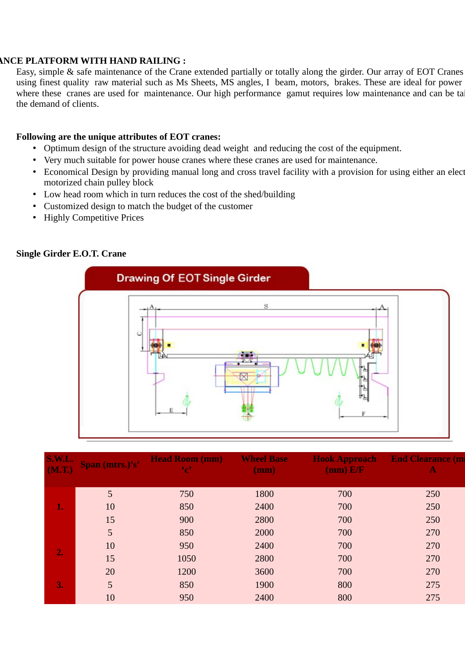#### **MAINTENANGE PLATFORM WITH HAND RAILING :**

Easy, simple & safe maintenance of the Crane extended partially or totally along the girder. Our array of EOT Cranes using finest quality raw material such as Ms Sheets, MS angles, I beam, motors, brakes. These are ideal for power where these cranes are used for maintenance. Our high performance gamut requires low maintenance and can be tail the demand of clients.

### **Following are the unique attributes of EOT cranes:**

- Optimum design of the structure avoiding dead weight and reducing the cost of the equipment.
- Very much suitable for power house cranes where these cranes are used for maintenance.
- Economical Design by providing manual long and cross travel facility with a provision for using either an elect motorized chain pulley block
- Low head room which in turn reduces the cost of the shed/building
- Customized design to match the budget of the customer
- Highly Competitive Prices



### **Single Girder E.O.T. Crane**

| <b>S.W.L.</b><br>(M.T.) | Span (mtrs.)'s' | <b>Head Room (mm)</b><br>$^{\circ}$ c <sup>2</sup> | <b>Wheel Base</b><br>(mm) | <b>Hook Approach</b><br>(mm) E/F | <b>End Clearance (m)</b><br>Α |
|-------------------------|-----------------|----------------------------------------------------|---------------------------|----------------------------------|-------------------------------|
|                         |                 |                                                    |                           |                                  |                               |
| 1.                      | 5               | 750                                                | 1800                      | 700                              | 250                           |
|                         | 10              | 850                                                | 2400                      | 700                              | 250                           |
|                         | 15              | 900                                                | 2800                      | 700                              | 250                           |
|                         | 5               | 850                                                | 2000                      | 700                              | 270                           |
|                         | 10              | 950                                                | 2400                      | 700                              | 270                           |
| 2.                      | 15              | 1050                                               | 2800                      | 700                              | 270                           |
|                         | 20              | 1200                                               | 3600                      | 700                              | 270                           |
| 3.                      | 5               | 850                                                | 1900                      | 800                              | 275                           |
|                         | 10              | 950                                                | 2400                      | 800                              | 275                           |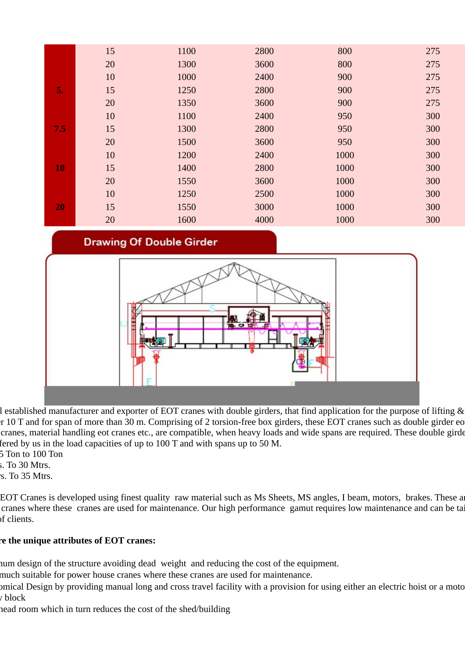|     | 15 | 1100 | 2800 | 800  | 275 |
|-----|----|------|------|------|-----|
|     | 20 | 1300 | 3600 | 800  | 275 |
|     | 10 | 1000 | 2400 | 900  | 275 |
| 5.  | 15 | 1250 | 2800 | 900  | 275 |
|     | 20 | 1350 | 3600 | 900  | 275 |
|     | 10 | 1100 | 2400 | 950  | 300 |
| 7.5 | 15 | 1300 | 2800 | 950  | 300 |
|     | 20 | 1500 | 3600 | 950  | 300 |
|     | 10 | 1200 | 2400 | 1000 | 300 |
| 10  | 15 | 1400 | 2800 | 1000 | 300 |
|     | 20 | 1550 | 3600 | 1000 | 300 |
|     | 10 | 1250 | 2500 | 1000 | 300 |
| 20  | 15 | 1550 | 3000 | 1000 | 300 |
|     | 20 | 1600 | 4000 | 1000 | 300 |

# **Drawing Of Double Girder**



l established manufacturer and exporter of EOT cranes with double girders, that find application for the purpose of lifting  $\&$ r 10 T and for span of more than 30 m. Comprising of 2 torsion-free box girders, these EOT cranes such as double girder eo cranes, material handling eot cranes etc., are compatible, when heavy loads and wide spans are required. These double girde fered by us in the load capacities of up to  $100$  T and with spans up to 50 M.

5 Ton to 100 Ton

 $s.$  To 30 Mtrs.

s. To 35 Mtrs.

EOT Cranes is developed using finest quality raw material such as Ms Sheets, MS angles, I beam, motors, brakes. These are cranes where these cranes are used for maintenance. Our high performance gamut requires low maintenance and can be tai of clients.

## **Following are the unique attributes of EOT cranes:**

num design of the structure avoiding dead weight and reducing the cost of the equipment.

much suitable for power house cranes where these cranes are used for maintenance.

economical Design by providing manual long and cross travel facility with a provision for using either an electric hoist or a moto  $\gamma$  block

nead room which in turn reduces the cost of the shed/building